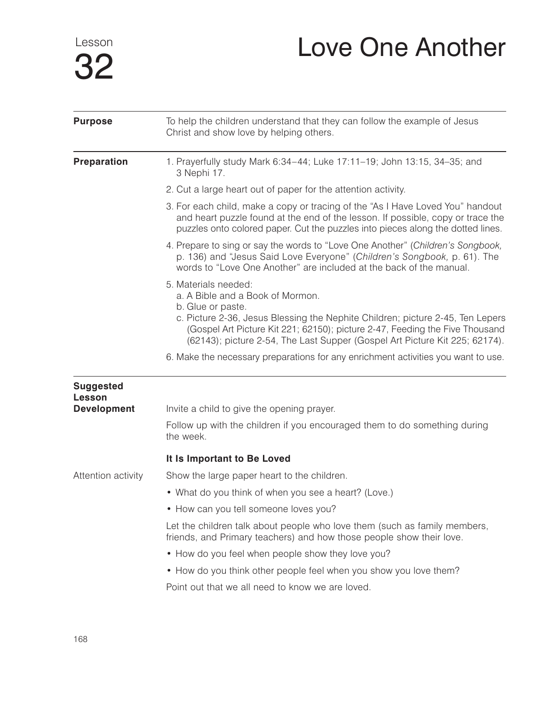Lesson 32

## Love One Another

| <b>Purpose</b>                    | To help the children understand that they can follow the example of Jesus<br>Christ and show love by helping others.                                                                                                                                 |
|-----------------------------------|------------------------------------------------------------------------------------------------------------------------------------------------------------------------------------------------------------------------------------------------------|
| <b>Preparation</b>                | 1. Prayerfully study Mark 6:34-44; Luke 17:11-19; John 13:15, 34-35; and<br>3 Nephi 17.                                                                                                                                                              |
|                                   | 2. Cut a large heart out of paper for the attention activity.                                                                                                                                                                                        |
|                                   | 3. For each child, make a copy or tracing of the "As I Have Loved You" handout<br>and heart puzzle found at the end of the lesson. If possible, copy or trace the<br>puzzles onto colored paper. Cut the puzzles into pieces along the dotted lines. |
|                                   | 4. Prepare to sing or say the words to "Love One Another" (Children's Songbook,<br>p. 136) and "Jesus Said Love Everyone" (Children's Songbook, p. 61). The<br>words to "Love One Another" are included at the back of the manual.                   |
|                                   | 5. Materials needed:<br>a. A Bible and a Book of Mormon.<br>b. Glue or paste.                                                                                                                                                                        |
|                                   | c. Picture 2-36, Jesus Blessing the Nephite Children; picture 2-45, Ten Lepers<br>(Gospel Art Picture Kit 221; 62150); picture 2-47, Feeding the Five Thousand<br>(62143); picture 2-54, The Last Supper (Gospel Art Picture Kit 225; 62174).        |
|                                   | 6. Make the necessary preparations for any enrichment activities you want to use.                                                                                                                                                                    |
| <b>Suggested</b><br><b>Lesson</b> |                                                                                                                                                                                                                                                      |
| <b>Development</b>                | Invite a child to give the opening prayer.                                                                                                                                                                                                           |
|                                   | Follow up with the children if you encouraged them to do something during<br>the week.                                                                                                                                                               |
|                                   | It Is Important to Be Loved                                                                                                                                                                                                                          |
| Attention activity                | Show the large paper heart to the children.                                                                                                                                                                                                          |
|                                   | • What do you think of when you see a heart? (Love.)                                                                                                                                                                                                 |
|                                   | • How can you tell someone loves you?                                                                                                                                                                                                                |
|                                   | Let the children talk about people who love them (such as family members,<br>friends, and Primary teachers) and how those people show their love.                                                                                                    |
|                                   | • How do you feel when people show they love you?                                                                                                                                                                                                    |
|                                   | • How do you think other people feel when you show you love them?                                                                                                                                                                                    |
|                                   | Point out that we all need to know we are loved.                                                                                                                                                                                                     |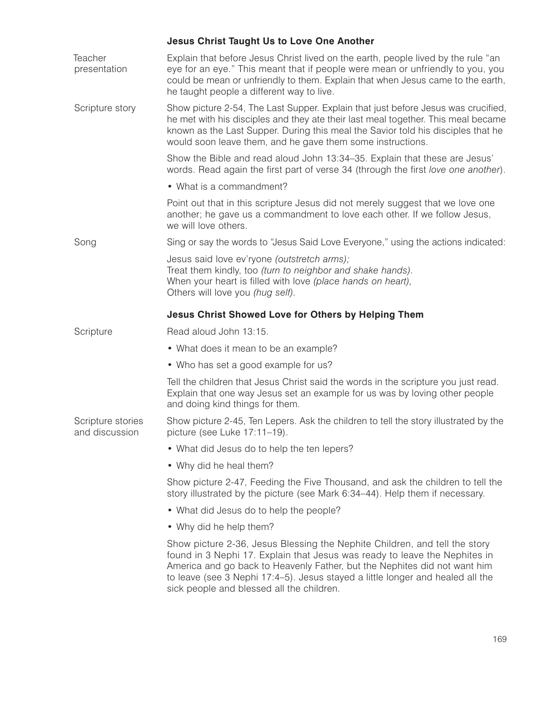|                                     | <b>Jesus Christ Taught Us to Love One Another</b>                                                                                                                                                                                                                                                                                                                    |
|-------------------------------------|----------------------------------------------------------------------------------------------------------------------------------------------------------------------------------------------------------------------------------------------------------------------------------------------------------------------------------------------------------------------|
| Teacher<br>presentation             | Explain that before Jesus Christ lived on the earth, people lived by the rule "an<br>eye for an eye." This meant that if people were mean or unfriendly to you, you<br>could be mean or unfriendly to them. Explain that when Jesus came to the earth,<br>he taught people a different way to live.                                                                  |
| Scripture story                     | Show picture 2-54, The Last Supper. Explain that just before Jesus was crucified,<br>he met with his disciples and they ate their last meal together. This meal became<br>known as the Last Supper. During this meal the Savior told his disciples that he<br>would soon leave them, and he gave them some instructions.                                             |
|                                     | Show the Bible and read aloud John 13:34–35. Explain that these are Jesus'<br>words. Read again the first part of verse 34 (through the first love one another).                                                                                                                                                                                                     |
|                                     | • What is a commandment?                                                                                                                                                                                                                                                                                                                                             |
|                                     | Point out that in this scripture Jesus did not merely suggest that we love one<br>another; he gave us a commandment to love each other. If we follow Jesus,<br>we will love others.                                                                                                                                                                                  |
| Song                                | Sing or say the words to "Jesus Said Love Everyone," using the actions indicated:                                                                                                                                                                                                                                                                                    |
|                                     | Jesus said love ev'ryone (outstretch arms);<br>Treat them kindly, too (turn to neighbor and shake hands).<br>When your heart is filled with love (place hands on heart),<br>Others will love you (hug self).                                                                                                                                                         |
|                                     | <b>Jesus Christ Showed Love for Others by Helping Them</b>                                                                                                                                                                                                                                                                                                           |
| Scripture                           | Read aloud John 13:15.                                                                                                                                                                                                                                                                                                                                               |
|                                     | • What does it mean to be an example?                                                                                                                                                                                                                                                                                                                                |
|                                     | • Who has set a good example for us?                                                                                                                                                                                                                                                                                                                                 |
|                                     | Tell the children that Jesus Christ said the words in the scripture you just read.<br>Explain that one way Jesus set an example for us was by loving other people<br>and doing kind things for them.                                                                                                                                                                 |
| Scripture stories<br>and discussion | Show picture 2-45, Ten Lepers. Ask the children to tell the story illustrated by the<br>picture (see Luke 17:11-19).                                                                                                                                                                                                                                                 |
|                                     | • What did Jesus do to help the ten lepers?                                                                                                                                                                                                                                                                                                                          |
|                                     | • Why did he heal them?                                                                                                                                                                                                                                                                                                                                              |
|                                     | Show picture 2-47, Feeding the Five Thousand, and ask the children to tell the<br>story illustrated by the picture (see Mark 6:34-44). Help them if necessary.                                                                                                                                                                                                       |
|                                     | • What did Jesus do to help the people?                                                                                                                                                                                                                                                                                                                              |
|                                     | • Why did he help them?                                                                                                                                                                                                                                                                                                                                              |
|                                     | Show picture 2-36, Jesus Blessing the Nephite Children, and tell the story<br>found in 3 Nephi 17. Explain that Jesus was ready to leave the Nephites in<br>America and go back to Heavenly Father, but the Nephites did not want him<br>to leave (see 3 Nephi 17:4-5). Jesus stayed a little longer and healed all the<br>sick people and blessed all the children. |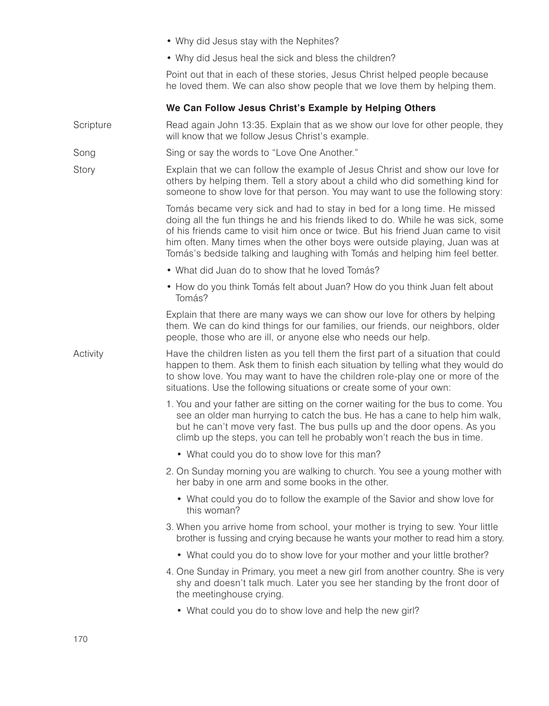|           | • Why did Jesus stay with the Nephites?                                                                                                                                                                                                                                                                                                                                                                          |
|-----------|------------------------------------------------------------------------------------------------------------------------------------------------------------------------------------------------------------------------------------------------------------------------------------------------------------------------------------------------------------------------------------------------------------------|
|           | • Why did Jesus heal the sick and bless the children?                                                                                                                                                                                                                                                                                                                                                            |
|           | Point out that in each of these stories, Jesus Christ helped people because<br>he loved them. We can also show people that we love them by helping them.                                                                                                                                                                                                                                                         |
|           | We Can Follow Jesus Christ's Example by Helping Others                                                                                                                                                                                                                                                                                                                                                           |
| Scripture | Read again John 13:35. Explain that as we show our love for other people, they<br>will know that we follow Jesus Christ's example.                                                                                                                                                                                                                                                                               |
| Song      | Sing or say the words to "Love One Another."                                                                                                                                                                                                                                                                                                                                                                     |
| Story     | Explain that we can follow the example of Jesus Christ and show our love for<br>others by helping them. Tell a story about a child who did something kind for<br>someone to show love for that person. You may want to use the following story:                                                                                                                                                                  |
|           | Tomás became very sick and had to stay in bed for a long time. He missed<br>doing all the fun things he and his friends liked to do. While he was sick, some<br>of his friends came to visit him once or twice. But his friend Juan came to visit<br>him often. Many times when the other boys were outside playing, Juan was at<br>Tomás's bedside talking and laughing with Tomás and helping him feel better. |
|           | • What did Juan do to show that he loved Tomás?                                                                                                                                                                                                                                                                                                                                                                  |
|           | • How do you think Tomás felt about Juan? How do you think Juan felt about<br>Tomás?                                                                                                                                                                                                                                                                                                                             |
|           | Explain that there are many ways we can show our love for others by helping<br>them. We can do kind things for our families, our friends, our neighbors, older<br>people, those who are ill, or anyone else who needs our help.                                                                                                                                                                                  |
| Activity  | Have the children listen as you tell them the first part of a situation that could<br>happen to them. Ask them to finish each situation by telling what they would do<br>to show love. You may want to have the children role-play one or more of the<br>situations. Use the following situations or create some of your own:                                                                                    |
|           | 1. You and your father are sitting on the corner waiting for the bus to come. You<br>see an older man hurrying to catch the bus. He has a cane to help him walk,<br>but he can't move very fast. The bus pulls up and the door opens. As you<br>climb up the steps, you can tell he probably won't reach the bus in time.                                                                                        |
|           | • What could you do to show love for this man?                                                                                                                                                                                                                                                                                                                                                                   |
|           | 2. On Sunday morning you are walking to church. You see a young mother with<br>her baby in one arm and some books in the other.                                                                                                                                                                                                                                                                                  |
|           | • What could you do to follow the example of the Savior and show love for<br>this woman?                                                                                                                                                                                                                                                                                                                         |
|           | 3. When you arrive home from school, your mother is trying to sew. Your little<br>brother is fussing and crying because he wants your mother to read him a story.                                                                                                                                                                                                                                                |
|           | • What could you do to show love for your mother and your little brother?                                                                                                                                                                                                                                                                                                                                        |
|           | 4. One Sunday in Primary, you meet a new girl from another country. She is very<br>shy and doesn't talk much. Later you see her standing by the front door of<br>the meetinghouse crying.                                                                                                                                                                                                                        |
|           | • What could you do to show love and help the new girl?                                                                                                                                                                                                                                                                                                                                                          |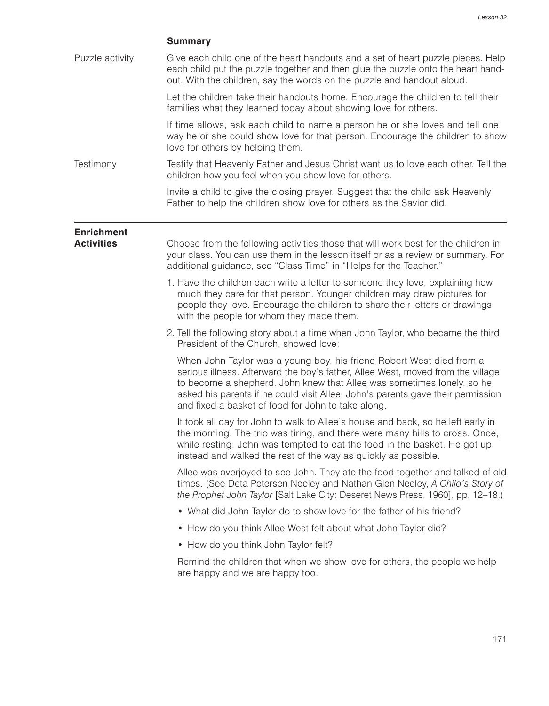## **Summary**

Puzzle activity Give each child one of the heart handouts and a set of heart puzzle pieces. Help each child put the puzzle together and then glue the puzzle onto the heart handout. With the children, say the words on the puzzle and handout aloud.

> Let the children take their handouts home. Encourage the children to tell their families what they learned today about showing love for others.

If time allows, ask each child to name a person he or she loves and tell one way he or she could show love for that person. Encourage the children to show love for others by helping them.

Testimony Testify that Heavenly Father and Jesus Christ want us to love each other. Tell the children how you feel when you show love for others.

> Invite a child to give the closing prayer. Suggest that the child ask Heavenly Father to help the children show love for others as the Savior did.

## **Enrichment**

**Activities** Choose from the following activities those that will work best for the children in your class. You can use them in the lesson itself or as a review or summary. For additional guidance, see "Class Time" in "Helps for the Teacher."

- 1. Have the children each write a letter to someone they love, explaining how much they care for that person. Younger children may draw pictures for people they love. Encourage the children to share their letters or drawings with the people for whom they made them.
- 2. Tell the following story about a time when John Taylor, who became the third President of the Church, showed love:

When John Taylor was a young boy, his friend Robert West died from a serious illness. Afterward the boy's father, Allee West, moved from the village to become a shepherd. John knew that Allee was sometimes lonely, so he asked his parents if he could visit Allee. John's parents gave their permission and fixed a basket of food for John to take along.

It took all day for John to walk to Allee's house and back, so he left early in the morning. The trip was tiring, and there were many hills to cross. Once, while resting, John was tempted to eat the food in the basket. He got up instead and walked the rest of the way as quickly as possible.

Allee was overjoyed to see John. They ate the food together and talked of old times. (See Deta Petersen Neeley and Nathan Glen Neeley, *A Child's Story of the Prophet John Taylor* [Salt Lake City: Deseret News Press, 1960], pp. 12–18.)

- What did John Taylor do to show love for the father of his friend?
- How do you think Allee West felt about what John Taylor did?
- How do you think John Taylor felt?

Remind the children that when we show love for others, the people we help are happy and we are happy too.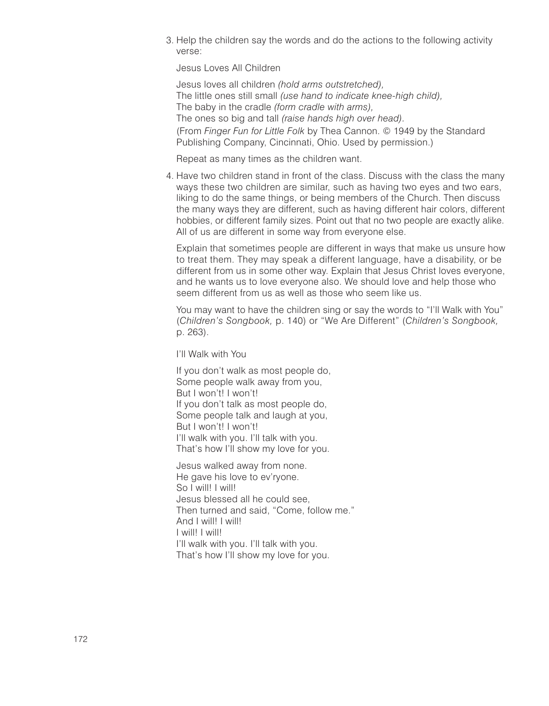3. Help the children say the words and do the actions to the following activity verse:

Jesus Loves All Children

Jesus loves all children *(hold arms outstretched),* The little ones still small *(use hand to indicate knee-high child),* The baby in the cradle *(form cradle with arms),* The ones so big and tall *(raise hands high over head).* (From *Finger Fun for Little Folk* by Thea Cannon. © 1949 by the Standard Publishing Company, Cincinnati, Ohio. Used by permission.)

Repeat as many times as the children want.

4. Have two children stand in front of the class. Discuss with the class the many ways these two children are similar, such as having two eyes and two ears, liking to do the same things, or being members of the Church. Then discuss the many ways they are different, such as having different hair colors, different hobbies, or different family sizes. Point out that no two people are exactly alike. All of us are different in some way from everyone else.

Explain that sometimes people are different in ways that make us unsure how to treat them. They may speak a different language, have a disability, or be different from us in some other way. Explain that Jesus Christ loves everyone, and he wants us to love everyone also. We should love and help those who seem different from us as well as those who seem like us.

You may want to have the children sing or say the words to "I'll Walk with You" (*Children's Songbook,* p. 140) or "We Are Different" (*Children's Songbook,* p. 263).

I'll Walk with You

If you don't walk as most people do, Some people walk away from you, But I won't! I won't! If you don't talk as most people do, Some people talk and laugh at you, But I won't! I won't! I'll walk with you. I'll talk with you. That's how I'll show my love for you.

Jesus walked away from none. He gave his love to ev'ryone. So I will! I will! Jesus blessed all he could see, Then turned and said, "Come, follow me." And I will! I will! I will! I will! I'll walk with you. I'll talk with you. That's how I'll show my love for you.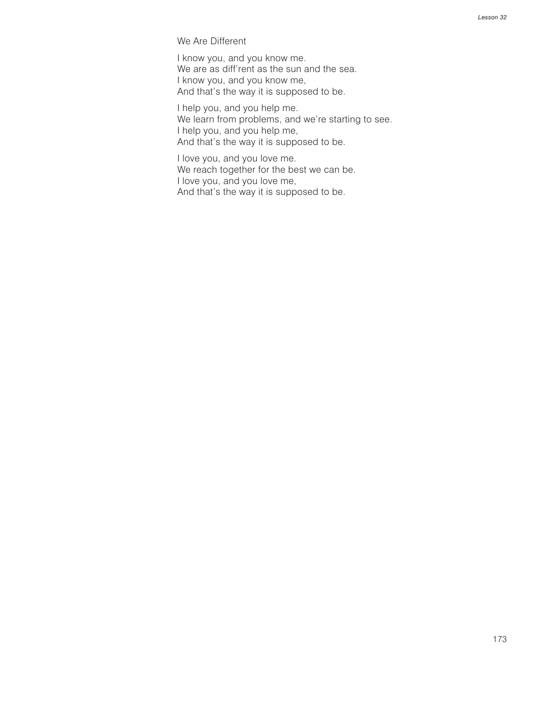We Are Different

I know you, and you know me. We are as diff'rent as the sun and the sea. I know you, and you know me, And that's the way it is supposed to be.

I help you, and you help me. We learn from problems, and we're starting to see. I help you, and you help me, And that's the way it is supposed to be.

I love you, and you love me. We reach together for the best we can be. I love you, and you love me, And that's the way it is supposed to be.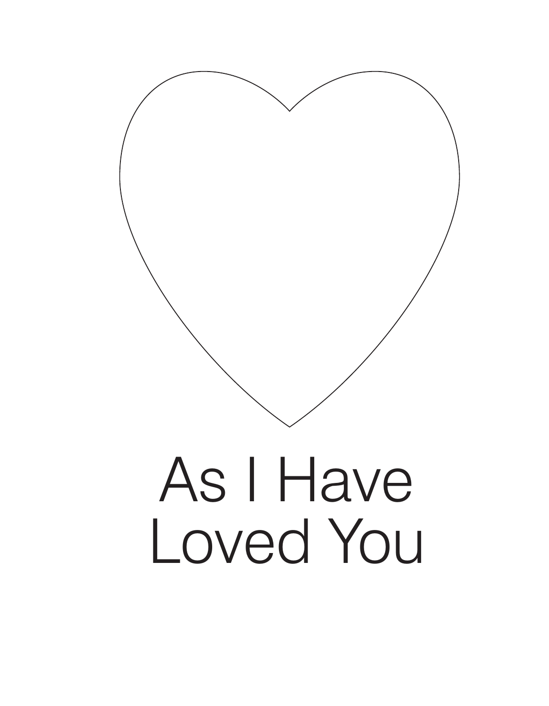